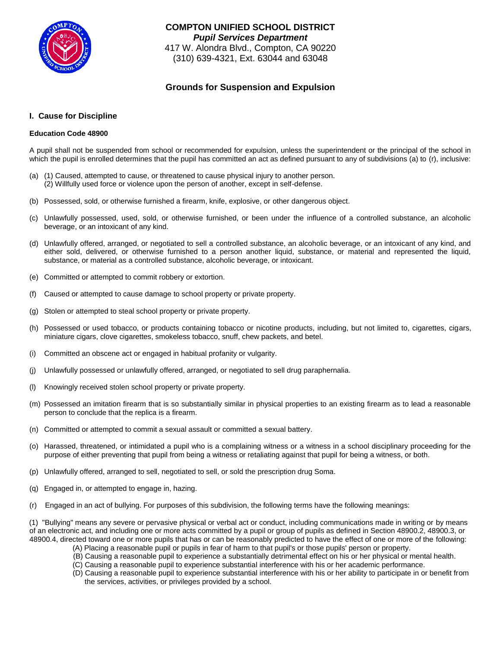

**COMPTON UNIFIED SCHOOL DISTRICT** *Pupil Services Department* 417 W. Alondra Blvd., Compton, CA 90220 (310) 639-4321, Ext. 63044 and 63048

# **Grounds for Suspension and Expulsion**

# **I. Cause for Discipline**

# **Education Code 48900**

A pupil shall not be suspended from school or recommended for expulsion, unless the superintendent or the principal of the school in which the pupil is enrolled determines that the pupil has committed an act as defined pursuant to any of subdivisions (a) to (r), inclusive:

- (a) (1) Caused, attempted to cause, or threatened to cause physical injury to another person. (2) Willfully used force or violence upon the person of another, except in self-defense.
- (b) Possessed, sold, or otherwise furnished a firearm, knife, explosive, or other dangerous object.
- (c) Unlawfully possessed, used, sold, or otherwise furnished, or been under the influence of a controlled substance, an alcoholic beverage, or an intoxicant of any kind.
- (d) Unlawfully offered, arranged, or negotiated to sell a controlled substance, an alcoholic beverage, or an intoxicant of any kind, and either sold, delivered, or otherwise furnished to a person another liquid, substance, or material and represented the liquid, substance, or material as a controlled substance, alcoholic beverage, or intoxicant.
- (e) Committed or attempted to commit robbery or extortion.
- (f) Caused or attempted to cause damage to school property or private property.
- (g) Stolen or attempted to steal school property or private property.
- (h) Possessed or used tobacco, or products containing tobacco or nicotine products, including, but not limited to, cigarettes, cigars, miniature cigars, clove cigarettes, smokeless tobacco, snuff, chew packets, and betel.
- (i) Committed an obscene act or engaged in habitual profanity or vulgarity.
- (j) Unlawfully possessed or unlawfully offered, arranged, or negotiated to sell drug paraphernalia.
- (l) Knowingly received stolen school property or private property.
- (m) Possessed an imitation firearm that is so substantially similar in physical properties to an existing firearm as to lead a reasonable person to conclude that the replica is a firearm.
- (n) Committed or attempted to commit a sexual assault or committed a sexual battery.
- (o) Harassed, threatened, or intimidated a pupil who is a complaining witness or a witness in a school disciplinary proceeding for the purpose of either preventing that pupil from being a witness or retaliating against that pupil for being a witness, or both.
- (p) Unlawfully offered, arranged to sell, negotiated to sell, or sold the prescription drug Soma.
- (q) Engaged in, or attempted to engage in, hazing.
- (r) Engaged in an act of bullying. For purposes of this subdivision, the following terms have the following meanings:

 (1) "Bullying" means any severe or pervasive physical or verbal act or conduct, including communications made in writing or by means of an electronic act, and including one or more acts committed by a pupil or group of pupils as defined in Section 48900.2, 48900.3, or 48900.4, directed toward one or more pupils that has or can be reasonably predicted to have the effect of one or more of the following:

- (A) Placing a reasonable pupil or pupils in fear of harm to that pupil's or those pupils' person or property.
- (B) Causing a reasonable pupil to experience a substantially detrimental effect on his or her physical or mental health.
- (C) Causing a reasonable pupil to experience substantial interference with his or her academic performance.
- (D) Causing a reasonable pupil to experience substantial interference with his or her ability to participate in or benefit from the services, activities, or privileges provided by a school.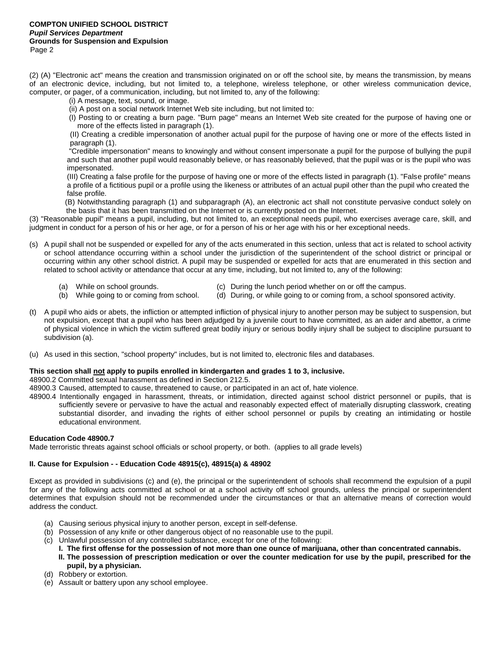(2) (A) "Electronic act" means the creation and transmission originated on or off the school site, by means the transmission, by means of an electronic device, including, but not limited to, a telephone, wireless telephone, or other wireless communication device, computer, or pager, of a communication, including, but not limited to, any of the following:

- (i) A message, text, sound, or image.
- (ii) A post on a social network Internet Web site including, but not limited to:

(I) Posting to or creating a burn page. "Burn page" means an Internet Web site created for the purpose of having one or more of the effects listed in paragraph (1).

(II) Creating a credible impersonation of another actual pupil for the purpose of having one or more of the effects listed in paragraph (1).

"Credible impersonation" means to knowingly and without consent impersonate a pupil for the purpose of bullying the pupil and such that another pupil would reasonably believe, or has reasonably believed, that the pupil was or is the pupil who was impersonated.

(III) Creating a false profile for the purpose of having one or more of the effects listed in paragraph (1). "False profile" means a profile of a fictitious pupil or a profile using the likeness or attributes of an actual pupil other than the pupil who created the false profile.

 (B) Notwithstanding paragraph (1) and subparagraph (A), an electronic act shall not constitute pervasive conduct solely on the basis that it has been transmitted on the Internet or is currently posted on the Internet.

(3) "Reasonable pupil" means a pupil, including, but not limited to, an exceptional needs pupil, who exercises average care, skill, and judgment in conduct for a person of his or her age, or for a person of his or her age with his or her exceptional needs.

- (s) A pupil shall not be suspended or expelled for any of the acts enumerated in this section, unless that act is related to school activity or school attendance occurring within a school under the jurisdiction of the superintendent of the school district or principal or occurring within any other school district. A pupil may be suspended or expelled for acts that are enumerated in this section and related to school activity or attendance that occur at any time, including, but not limited to, any of the following:
	-
	- (a) While on school grounds. (c) During the lunch period whether on or off the campus.
	- (b) While going to or coming from school. (d) During, or while going to or coming from, a school sponsored activity.
- (t) A pupil who aids or abets, the infliction or attempted infliction of physical injury to another person may be subject to suspension, but not expulsion, except that a pupil who has been adjudged by a juvenile court to have committed, as an aider and abettor, a crime of physical violence in which the victim suffered great bodily injury or serious bodily injury shall be subject to discipline pursuant to subdivision (a).
- (u) As used in this section, "school property" includes, but is not limited to, electronic files and databases.

### **This section shall not apply to pupils enrolled in kindergarten and grades 1 to 3, inclusive.**

48900.2 Committed sexual harassment as defined in Section 212.5.

- 48900.3 Caused, attempted to cause, threatened to cause, or participated in an act of, hate violence.
- 48900.4 Intentionally engaged in harassment, threats, or intimidation, directed against school district personnel or pupils, that is sufficiently severe or pervasive to have the actual and reasonably expected effect of materially disrupting classwork, creating substantial disorder, and invading the rights of either school personnel or pupils by creating an intimidating or hostile educational environment.

### **Education Code 48900.7**

Made terroristic threats against school officials or school property, or both. (applies to all grade levels)

### **II. Cause for Expulsion - - Education Code 48915(c), 48915(a) & 48902**

Except as provided in subdivisions (c) and (e), the principal or the superintendent of schools shall recommend the expulsion of a pupil for any of the following acts committed at school or at a school activity off school grounds, unless the principal or superintendent determines that expulsion should not be recommended under the circumstances or that an alternative means of correction would address the conduct.

- (a) Causing serious physical injury to another person, except in self-defense.
- (b) Possession of any knife or other dangerous object of no reasonable use to the pupil.
- (c) Unlawful possession of any controlled substance, except for one of the following:
	- **I. The first offense for the possession of not more than one ounce of marijuana, other than concentrated cannabis.**
	- **II. The possession of prescription medication or over the counter medication for use by the pupil, prescribed for the pupil, by a physician.**
- (d) Robbery or extortion.
- (e) Assault or battery upon any school employee.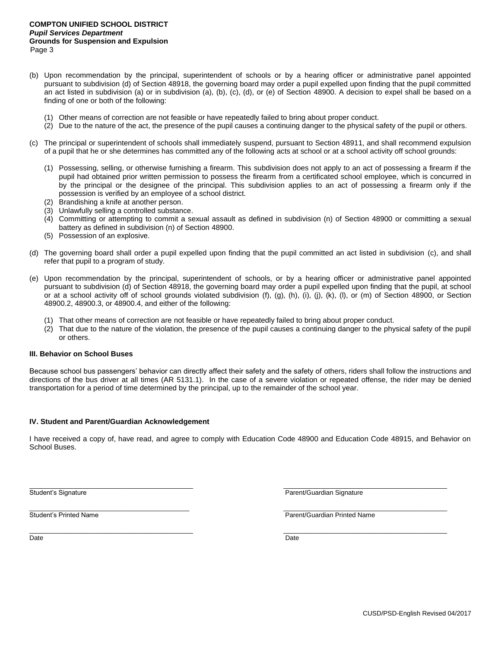- (b) Upon recommendation by the principal, superintendent of schools or by a hearing officer or administrative panel appointed pursuant to subdivision (d) of Section 48918, the governing board may order a pupil expelled upon finding that the pupil committed an act listed in subdivision (a) or in subdivision (a), (b), (c), (d), or (e) of Section 48900. A decision to expel shall be based on a finding of one or both of the following:
	- (1) Other means of correction are not feasible or have repeatedly failed to bring about proper conduct.
	- (2) Due to the nature of the act, the presence of the pupil causes a continuing danger to the physical safety of the pupil or others.
- (c) The principal or superintendent of schools shall immediately suspend, pursuant to Section 48911, and shall recommend expulsion of a pupil that he or she determines has committed any of the following acts at school or at a school activity off school grounds:
	- (1) Possessing, selling, or otherwise furnishing a firearm. This subdivision does not apply to an act of possessing a firearm if the pupil had obtained prior written permission to possess the firearm from a certificated school employee, which is concurred in by the principal or the designee of the principal. This subdivision applies to an act of possessing a firearm only if the possession is verified by an employee of a school district.
	- (2) Brandishing a knife at another person.
	- (3) Unlawfully selling a controlled substance.
	- (4) Committing or attempting to commit a sexual assault as defined in subdivision (n) of Section 48900 or committing a sexual battery as defined in subdivision (n) of Section 48900.
	- (5) Possession of an explosive.
- (d) The governing board shall order a pupil expelled upon finding that the pupil committed an act listed in subdivision (c), and shall refer that pupil to a program of study.
- (e) Upon recommendation by the principal, superintendent of schools, or by a hearing officer or administrative panel appointed pursuant to subdivision (d) of Section 48918, the governing board may order a pupil expelled upon finding that the pupil, at school or at a school activity off of school grounds violated subdivision (f), (g), (h), (i), (j), (k), (l), or (m) of Section 48900, or Section 48900.2, 48900.3, or 48900.4, and either of the following:
	- (1) That other means of correction are not feasible or have repeatedly failed to bring about proper conduct.
	- (2) That due to the nature of the violation, the presence of the pupil causes a continuing danger to the physical safety of the pupil or others.

### **III. Behavior on School Buses**

Because school bus passengers' behavior can directly affect their safety and the safety of others, riders shall follow the instructions and directions of the bus driver at all times (AR 5131.1). In the case of a severe violation or repeated offense, the rider may be denied transportation for a period of time determined by the principal, up to the remainder of the school year.

## **IV. Student and Parent/Guardian Acknowledgement**

I have received a copy of, have read, and agree to comply with Education Code 48900 and Education Code 48915, and Behavior on School Buses.

\_\_\_\_\_\_\_\_\_\_\_\_\_\_\_\_\_\_\_\_\_\_\_\_\_\_\_\_\_\_\_\_\_\_\_\_\_\_\_\_\_\_\_\_\_ \_\_\_\_\_\_\_\_\_\_\_\_\_\_\_\_\_\_\_\_\_\_\_\_\_\_\_\_\_\_\_\_\_\_\_\_\_\_\_\_\_\_\_\_\_

 $\_$  , and the set of the set of the set of the set of the set of the set of the set of the set of the set of the set of the set of the set of the set of the set of the set of the set of the set of the set of the set of th

Student's Signature **Parent/Guardian Signature** Parent/Guardian Signature

 $\_$  , and the set of the set of the set of the set of the set of the set of the set of the set of the set of the set of the set of the set of the set of the set of the set of the set of the set of the set of the set of th

Student's Printed Name **Parent/Guardian Printed Name** 

Date Date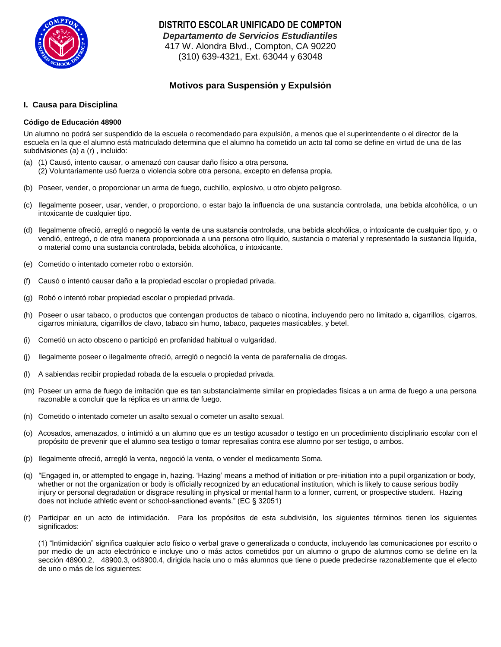

**DISTRITO ESCOLAR UNIFICADO DE COMPTON** *Departamento de Servicios Estudiantiles*  417 W. Alondra Blvd., Compton, CA 90220 (310) 639-4321, Ext. 63044 y 63048

# **Motivos para Suspensiόn y Expulsiόn**

# **I. Causa para Disciplina**

# **Cόdigo de Educación 48900**

Un alumno no podrá ser suspendido de la escuela o recomendado para expulsión, a menos que el superintendente o el director de la escuela en la que el alumno está matriculado determina que el alumno ha cometido un acto tal como se define en virtud de una de las subdivisiones (a) a (r) , incluido:

- (a) (1) Causó, intento causar, o amenazó con causar daño físico a otra persona. (2) Voluntariamente usό fuerza o violencia sobre otra persona, excepto en defensa propia.
- (b) Poseer, vender, o proporcionar un arma de fuego, cuchillo, explosivo, u otro objeto peligroso.
- (c) Ilegalmente poseer, usar, vender, o proporciono, o estar bajo la influencia de una sustancia controlada, una bebida alcohόlica, o un intoxicante de cualquier tipo.
- (d) Ilegalmente ofreciό, arreglό o negociό la venta de una sustancia controlada, una bebida alcohόlica, o intoxicante de cualquier tipo, y, o vendió, entregó, o de otra manera proporcionada a una persona otro líquido, sustancia o material y representado la sustancia líquida, o material como una sustancia controlada, bebida alcohólica, o intoxicante.
- (e) Cometido o intentado cometer robo o extorsión.
- (f) Causó o intentó causar daño a la propiedad escolar o propiedad privada.
- (g) Robó o intentó robar propiedad escolar o propiedad privada.
- (h) Poseer o usar tabaco, o productos que contengan productos de tabaco o nicotina, incluyendo pero no limitado a, cigarrillos, cigarros, cigarros miniatura, cigarrillos de clavo, tabaco sin humo, tabaco, paquetes masticables, y betel.
- (i) Cometió un acto obsceno o participó en profanidad habitual o vulgaridad.
- (j) Ilegalmente poseer o ilegalmente ofreció, arregló o negoció la venta de parafernalia de drogas.
- (l) A sabiendas recibir propiedad robada de la escuela o propiedad privada.
- (m) Poseer un arma de fuego de imitación que es tan substancialmente similar en propiedades físicas a un arma de fuego a una persona razonable a concluir que la réplica es un arma de fuego.
- (n) Cometido o intentado cometer un asalto sexual o cometer un asalto sexual.
- (o) Acosados, amenazados, o intimidó a un alumno que es un testigo acusador o testigo en un procedimiento disciplinario escolar con el propósito de prevenir que el alumno sea testigo o tomar represalias contra ese alumno por ser testigo, o ambos.
- (p) Ilegalmente ofreció, arregló la venta, negoció la venta, o vender el medicamento Soma.
- (q) "Engaged in, or attempted to engage in, hazing. 'Hazing' means a method of initiation or pre-initiation into a pupil organization or body, whether or not the organization or body is officially recognized by an educational institution, which is likely to cause serious bodily injury or personal degradation or disgrace resulting in physical or mental harm to a former, current, or prospective student. Hazing does not include athletic event or school-sanctioned events." (EC § 32051)
- (r) Participar en un acto de intimidación. Para los propósitos de esta subdivisión, los siguientes términos tienen los siguientes significados:

(1) "Intimidación" significa cualquier acto físico o verbal grave o generalizada o conducta, incluyendo las comunicaciones por escrito o por medio de un acto electrónico e incluye uno o más actos cometidos por un alumno o grupo de alumnos como se define en la sección 48900.2, 48900.3, o48900.4, dirigida hacia uno o más alumnos que tiene o puede predecirse razonablemente que el efecto de uno o más de los siguientes: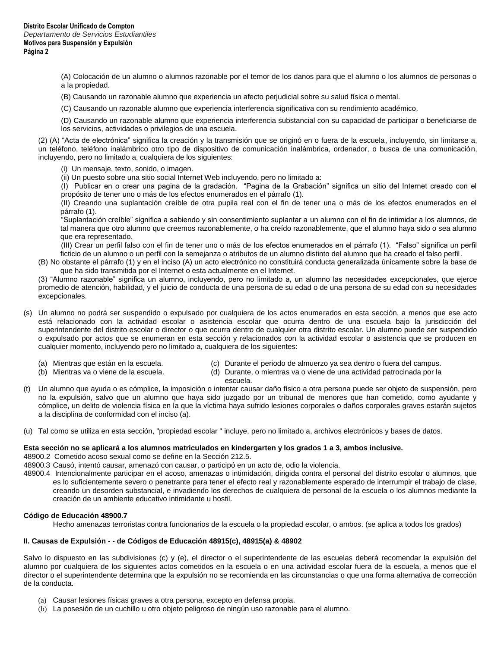(A) Colocación de un alumno o alumnos razonable por el temor de los danos para que el alumno o los alumnos de personas o a la propiedad.

- (B) Causando un razonable alumno que experiencia un afecto perjudicial sobre su salud física o mental.
- (C) Causando un razonable alumno que experiencia interferencia significativa con su rendimiento académico.

(D) Causando un razonable alumno que experiencia interferencia substancial con su capacidad de participar o beneficiarse de los servicios, actividades o privilegios de una escuela.

(2) (A) "Acta de electrónica" significa la creación y la transmisión que se originó en o fuera de la escuela, incluyendo, sin limitarse a, un teléfono, teléfono inalámbrico otro tipo de dispositivo de comunicación inalámbrica, ordenador, o busca de una comunicación, incluyendo, pero no limitado a, cualquiera de los siguientes:

- (i) Un mensaje, texto, sonido, o imagen.
- (ii) Un puesto sobre una sitio social Internet Web incluyendo, pero no limitado a:

(I) Publicar en o crear una pagina de la gradación. "Pagina de la Grabación" significa un sitio del Internet creado con el propósito de tener uno o más de los efectos enumerados en el párrafo (1).

(II) Creando una suplantación creíble de otra pupila real con el fin de tener una o más de los efectos enumerados en el párrafo (1).

"Suplantación creíble" significa a sabiendo y sin consentimiento suplantar a un alumno con el fin de intimidar a los alumnos, de tal manera que otro alumno que creemos razonablemente, o ha creído razonablemente, que el alumno haya sido o sea alumno que era representado.

(III) Crear un perfil falso con el fin de tener uno o más de los efectos enumerados en el párrafo (1). "Falso" significa un perfil ficticio de un alumno o un perfil con la semejanza o atributos de un alumno distinto del alumno que ha creado el falso perfil.

(B) No obstante el párrafo (1) y en el inciso (A) un acto electrónico no constituirá conducta generalizada únicamente sobre la base de que ha sido transmitida por el Internet o esta actualmente en el Internet.

(3) "Alumno razonable" significa un alumno, incluyendo, pero no limitado a, un alumno las necesidades excepcionales, que ejerce promedio de atención, habilidad, y el juicio de conducta de una persona de su edad o de una persona de su edad con su necesidades excepcionales.

- (s) Un alumno no podrá ser suspendido o expulsado por cualquiera de los actos enumerados en esta sección, a menos que ese acto está relacionado con la actividad escolar o asistencia escolar que ocurra dentro de una escuela bajo la jurisdicción del superintendente del distrito escolar o director o que ocurra dentro de cualquier otra distrito escolar. Un alumno puede ser suspendido o expulsado por actos que se enumeran en esta sección y relacionados con la actividad escolar o asistencia que se producen en cualquier momento, incluyendo pero no limitado a, cualquiera de los siguientes:
	-
	- (a) Mientras que están en la escuela. (c) Durante el periodo de almuerzo ya sea dentro o fuera del campus.
	- (b) Mientras va o viene de la escuela. (d) Durante, o mientras va o viene de una actividad patrocinada por la escuela.
- (t) Un alumno que ayuda o es cómplice, la imposición o intentar causar daño físico a otra persona puede ser objeto de suspensión, pero no la expulsión, salvo que un alumno que haya sido juzgado por un tribunal de menores que han cometido, como ayudante y cómplice, un delito de violencia física en la que la víctima haya sufrido lesiones corporales o daños corporales graves estarán sujetos a la disciplina de conformidad con el inciso (a).
- (u) Tal como se utiliza en esta sección, "propiedad escolar " incluye, pero no limitado a, archivos electrónicos y bases de datos.

### **Esta sección no se aplicará a los alumnos matriculados en kindergarten y los grados 1 a 3, ambos inclusive.**

48900.2 Cometido acoso sexual como se define en la Sección 212.5.

- 48900.3 Causó, intentó causar, amenazó con causar, o participó en un acto de, odio la violencia.
- 48900.4 Intencionalmente participar en el acoso, amenazas o intimidación, dirigida contra el personal del distrito escolar o alumnos, que es lo suficientemente severo o penetrante para tener el efecto real y razonablemente esperado de interrumpir el trabajo de clase, creando un desorden substancial, e invadiendo los derechos de cualquiera de personal de la escuela o los alumnos mediante la creación de un ambiente educativo intimidante u hostil.

## **Cόdigo de Educación 48900.7**

Hecho amenazas terroristas contra funcionarios de la escuela o la propiedad escolar, o ambos. (se aplica a todos los grados)

## **II. Causas de Expulsión - - de Cόdigos de Educación 48915(c), 48915(a) & 48902**

Salvo lo dispuesto en las subdivisiones (c) y (e), el director o el superintendente de las escuelas deberá recomendar la expulsión del alumno por cualquiera de los siguientes actos cometidos en la escuela o en una actividad escolar fuera de la escuela, a menos que el director o el superintendente determina que la expulsión no se recomienda en las circunstancias o que una forma alternativa de corrección de la conducta.

- (a) Causar lesiones físicas graves a otra persona, excepto en defensa propia.
- (b) La posesión de un cuchillo u otro objeto peligroso de ningún uso razonable para el alumno.